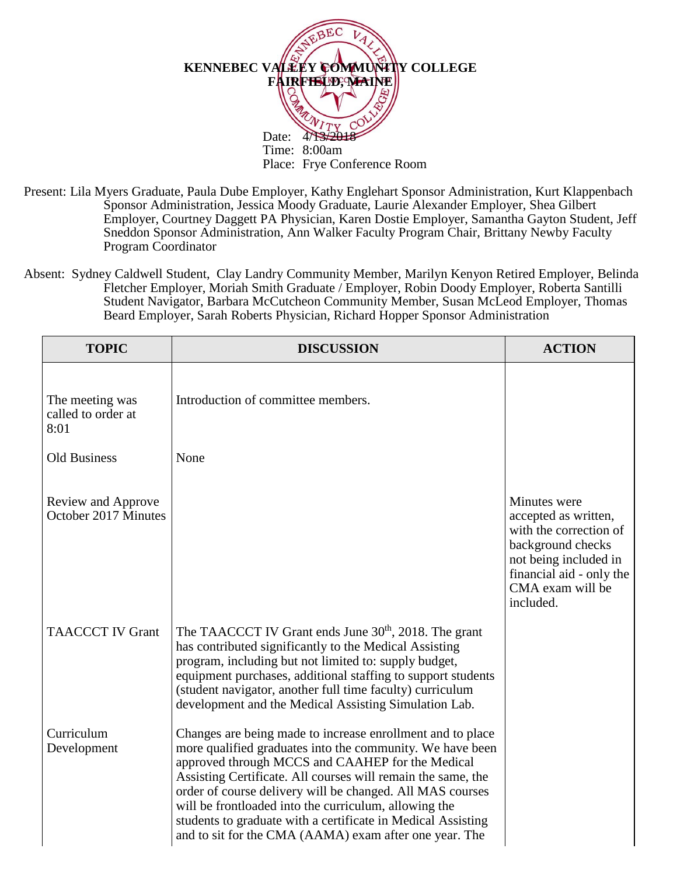

Present: Lila Myers Graduate, Paula Dube Employer, Kathy Englehart Sponsor Administration, Kurt Klappenbach Sponsor Administration, Jessica Moody Graduate, Laurie Alexander Employer, Shea Gilbert Employer, Courtney Daggett PA Physician, Karen Dostie Employer, Samantha Gayton Student, Jeff Sneddon Sponsor Administration, Ann Walker Faculty Program Chair, Brittany Newby Faculty Program Coordinator

Absent: Sydney Caldwell Student, Clay Landry Community Member, Marilyn Kenyon Retired Employer, Belinda Fletcher Employer, Moriah Smith Graduate / Employer, Robin Doody Employer, Roberta Santilli Student Navigator, Barbara McCutcheon Community Member, Susan McLeod Employer, Thomas Beard Employer, Sarah Roberts Physician, Richard Hopper Sponsor Administration

| <b>TOPIC</b>                                  | <b>DISCUSSION</b>                                                                                                                                                                                                                                                                                                                                                                                                                                                                           | <b>ACTION</b>                                                                                                                                                             |
|-----------------------------------------------|---------------------------------------------------------------------------------------------------------------------------------------------------------------------------------------------------------------------------------------------------------------------------------------------------------------------------------------------------------------------------------------------------------------------------------------------------------------------------------------------|---------------------------------------------------------------------------------------------------------------------------------------------------------------------------|
| The meeting was<br>called to order at<br>8:01 | Introduction of committee members.                                                                                                                                                                                                                                                                                                                                                                                                                                                          |                                                                                                                                                                           |
| <b>Old Business</b>                           | None                                                                                                                                                                                                                                                                                                                                                                                                                                                                                        |                                                                                                                                                                           |
| Review and Approve<br>October 2017 Minutes    |                                                                                                                                                                                                                                                                                                                                                                                                                                                                                             | Minutes were<br>accepted as written,<br>with the correction of<br>background checks<br>not being included in<br>financial aid - only the<br>CMA exam will be<br>included. |
| <b>TAACCCT IV Grant</b>                       | The TAACCCT IV Grant ends June 30 <sup>th</sup> , 2018. The grant<br>has contributed significantly to the Medical Assisting<br>program, including but not limited to: supply budget,<br>equipment purchases, additional staffing to support students<br>(student navigator, another full time faculty) curriculum<br>development and the Medical Assisting Simulation Lab.                                                                                                                  |                                                                                                                                                                           |
| Curriculum<br>Development                     | Changes are being made to increase enrollment and to place<br>more qualified graduates into the community. We have been<br>approved through MCCS and CAAHEP for the Medical<br>Assisting Certificate. All courses will remain the same, the<br>order of course delivery will be changed. All MAS courses<br>will be frontloaded into the curriculum, allowing the<br>students to graduate with a certificate in Medical Assisting<br>and to sit for the CMA (AAMA) exam after one year. The |                                                                                                                                                                           |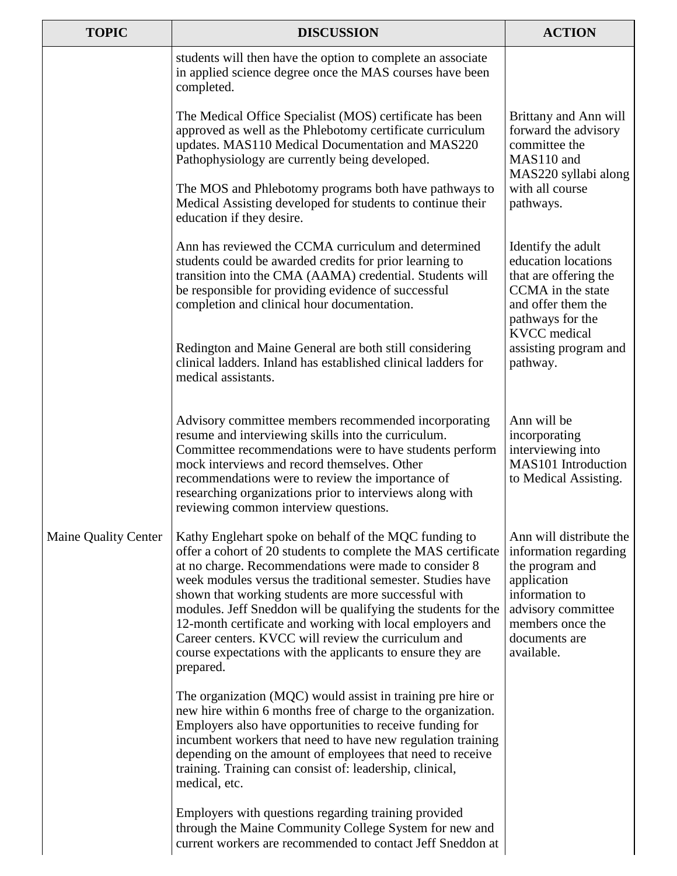| <b>TOPIC</b>                | <b>DISCUSSION</b>                                                                                                                                                                                                                                                                                                                                                                                                                                                                                                                                                     | <b>ACTION</b>                                                                                                                                                                 |
|-----------------------------|-----------------------------------------------------------------------------------------------------------------------------------------------------------------------------------------------------------------------------------------------------------------------------------------------------------------------------------------------------------------------------------------------------------------------------------------------------------------------------------------------------------------------------------------------------------------------|-------------------------------------------------------------------------------------------------------------------------------------------------------------------------------|
|                             | students will then have the option to complete an associate<br>in applied science degree once the MAS courses have been<br>completed.                                                                                                                                                                                                                                                                                                                                                                                                                                 |                                                                                                                                                                               |
|                             | The Medical Office Specialist (MOS) certificate has been<br>approved as well as the Phlebotomy certificate curriculum<br>updates. MAS110 Medical Documentation and MAS220<br>Pathophysiology are currently being developed.                                                                                                                                                                                                                                                                                                                                           | Brittany and Ann will<br>forward the advisory<br>committee the<br>MAS110 and<br>MAS220 syllabi along                                                                          |
|                             | The MOS and Phlebotomy programs both have pathways to<br>Medical Assisting developed for students to continue their<br>education if they desire.                                                                                                                                                                                                                                                                                                                                                                                                                      | with all course<br>pathways.                                                                                                                                                  |
|                             | Ann has reviewed the CCMA curriculum and determined<br>students could be awarded credits for prior learning to<br>transition into the CMA (AAMA) credential. Students will<br>be responsible for providing evidence of successful<br>completion and clinical hour documentation.                                                                                                                                                                                                                                                                                      | Identify the adult<br>education locations<br>that are offering the<br>CCMA in the state<br>and offer them the<br>pathways for the<br><b>KVCC</b> medical                      |
| <b>Maine Quality Center</b> | Redington and Maine General are both still considering<br>clinical ladders. Inland has established clinical ladders for<br>medical assistants.                                                                                                                                                                                                                                                                                                                                                                                                                        | assisting program and<br>pathway.                                                                                                                                             |
|                             | Advisory committee members recommended incorporating<br>resume and interviewing skills into the curriculum.<br>Committee recommendations were to have students perform<br>mock interviews and record themselves. Other<br>recommendations were to review the importance of<br>researching organizations prior to interviews along with<br>reviewing common interview questions.                                                                                                                                                                                       | Ann will be<br>incorporating<br>interviewing into<br>MAS101 Introduction<br>to Medical Assisting.                                                                             |
|                             | Kathy Englehart spoke on behalf of the MQC funding to<br>offer a cohort of 20 students to complete the MAS certificate<br>at no charge. Recommendations were made to consider 8<br>week modules versus the traditional semester. Studies have<br>shown that working students are more successful with<br>modules. Jeff Sneddon will be qualifying the students for the<br>12-month certificate and working with local employers and<br>Career centers. KVCC will review the curriculum and<br>course expectations with the applicants to ensure they are<br>prepared. | Ann will distribute the<br>information regarding<br>the program and<br>application<br>information to<br>advisory committee<br>members once the<br>documents are<br>available. |
|                             | The organization (MQC) would assist in training pre hire or<br>new hire within 6 months free of charge to the organization.<br>Employers also have opportunities to receive funding for<br>incumbent workers that need to have new regulation training<br>depending on the amount of employees that need to receive<br>training. Training can consist of: leadership, clinical,<br>medical, etc.                                                                                                                                                                      |                                                                                                                                                                               |
|                             | Employers with questions regarding training provided<br>through the Maine Community College System for new and<br>current workers are recommended to contact Jeff Sneddon at                                                                                                                                                                                                                                                                                                                                                                                          |                                                                                                                                                                               |